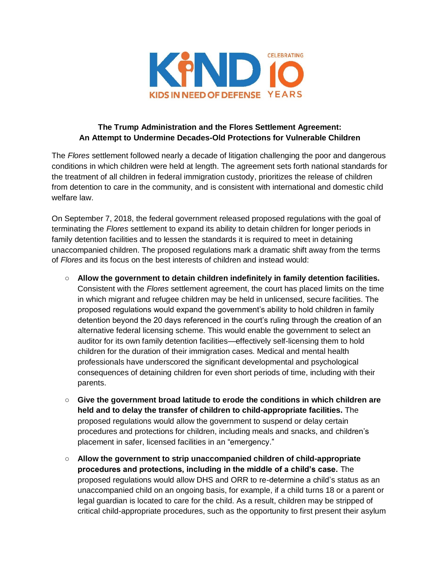

## **The Trump Administration and the Flores Settlement Agreement: An Attempt to Undermine Decades-Old Protections for Vulnerable Children**

The *Flores* settlement followed nearly a decade of litigation challenging the poor and dangerous conditions in which children were held at length. The agreement sets forth national standards for the treatment of all children in federal immigration custody, prioritizes the release of children from detention to care in the community, and is consistent with international and domestic child welfare law.

On September 7, 2018, the federal government released proposed regulations with the goal of terminating the *Flores* settlement to expand its ability to detain children for longer periods in family detention facilities and to lessen the standards it is required to meet in detaining unaccompanied children. The proposed regulations mark a dramatic shift away from the terms of *Flores* and its focus on the best interests of children and instead would:

- **Allow the government to detain children indefinitely in family detention facilities.**  Consistent with the *Flores* settlement agreement, the court has placed limits on the time in which migrant and refugee children may be held in unlicensed, secure facilities. The proposed regulations would expand the government's ability to hold children in family detention beyond the 20 days referenced in the court's ruling through the creation of an alternative federal licensing scheme. This would enable the government to select an auditor for its own family detention facilities—effectively self-licensing them to hold children for the duration of their immigration cases. Medical and mental health professionals have underscored the significant developmental and psychological consequences of detaining children for even short periods of time, including with their parents.
- **Give the government broad latitude to erode the conditions in which children are held and to delay the transfer of children to child-appropriate facilities.** The proposed regulations would allow the government to suspend or delay certain procedures and protections for children, including meals and snacks, and children's placement in safer, licensed facilities in an "emergency."
- **Allow the government to strip unaccompanied children of child-appropriate procedures and protections, including in the middle of a child's case.** The proposed regulations would allow DHS and ORR to re-determine a child's status as an unaccompanied child on an ongoing basis, for example, if a child turns 18 or a parent or legal guardian is located to care for the child. As a result, children may be stripped of critical child-appropriate procedures, such as the opportunity to first present their asylum